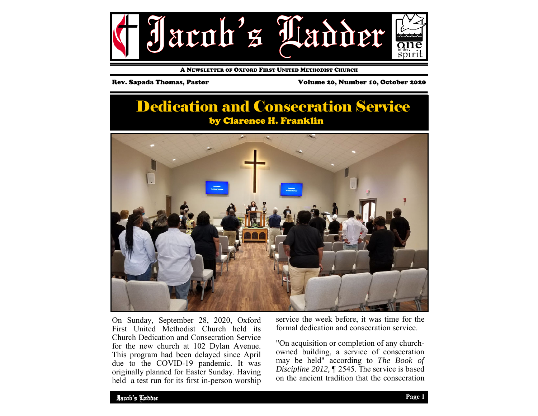

A NEWSLETTER OF OXFORD FIRST UNITED METHODIST CHURCH

Rev. Sapada Thomas, Pastor Volume 20, Number 10, October 2020

# Dedication and Consecration Service by Clarence H. Franklin



On Sunday, September 28, 2020, Oxford First United Methodist Church held its Church Dedication and Consecration Service for the new church at 102 Dylan Avenue. This program had been delayed since April due to the COVID-19 pandemic. It was originally planned for Easter Sunday. Having held a test run for its first in-person worship

service the week before, it was time for the formal dedication and consecration service.

"On acquisition or completion of any churchowned building, a service of consecration may be held" according to *The Book of Discipline 2012,* ¶ 2545. The service is based on the ancient tradition that the consecration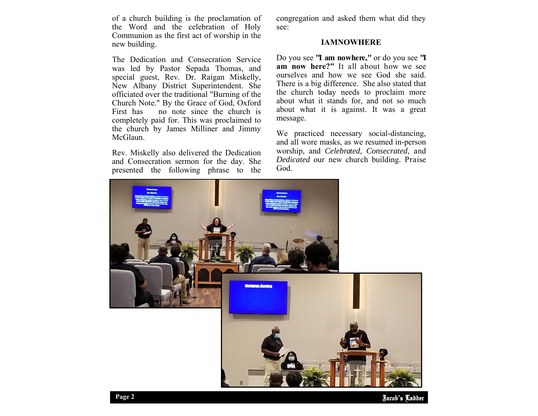of a church building is the proclamation of the Word and the celebration of Holy Communion as the first act of worship in the new building.

The Dedication and Consecration Service was led by Pastor Sepada Thomas, and special guest, Rev. Dr. Raigan Miskelly, New Albany District Superintendent. She officiated over the traditional "Burning of the Church Note." By the Grace of God, Oxford First has no note since the church is completely paid for. This was proclaimed to the church by James Milliner and Jimmy McGlaun.

Rev. Miskelly also delivered the Dedication and Consecration sermon for the day. She presented the following phrase to the

congregation and asked them what did they see:

### **IAMNOWHERE**

Do you see **"I am nowhere,"** or do you see **"I am now here?"** It all about how we see ourselves and how we see God she said. There is a big difference. She also stated that the church today needs to proclaim more about what it stands for, and not so much about what it is against. It was a great message.

We practiced necessary social-distancing, and all wore masks, as we resumed in-person worship, and *Celebrated*, *Consecrated*, and *Dedicated* our new church building. Praise God.

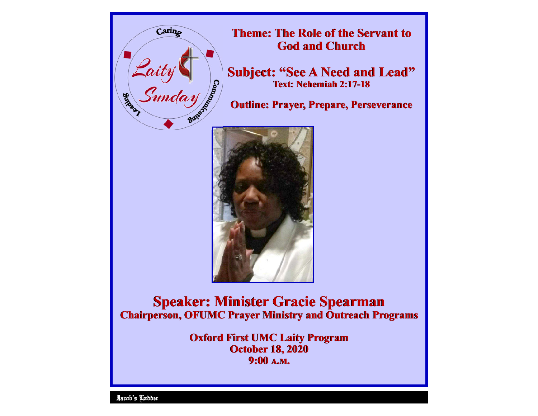

**Theme: The Role of the Servant to The Role of the Servant to God and Church God and Church** 

**Subject: "See A Need and Lead"**<br> **Text: Nehemiah 2:17-18<br>
Outline: Prayer, Prepare, Perseverance Text: Nehemiah 2:17-18** 

**Outline: Prayer, Prepare, Perseverance** 



**Speaker: Minister Gracie Spearman Speaker: Minister Gracie Chairperson, OFUMC Prayer Ministry and Outreach Programs Chairperson, OFUMC Prayer Ministry and Programs** 

> **Oxford First UMC Laity Program Oxford First UMC Program October 18, 2020 October 18, 2020**  9:00 A.M.